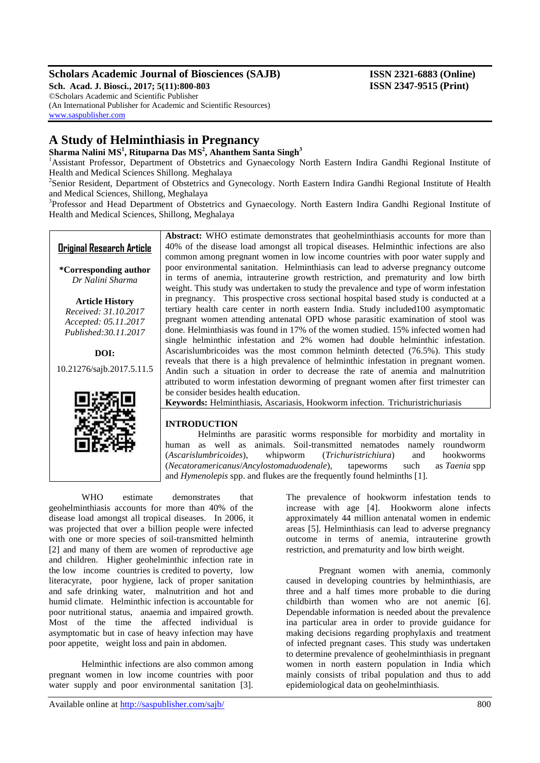# **Scholars Academic Journal of Biosciences (SAJB) ISSN 2321-6883 (Online)**

**Sch. Acad. J. Biosci., 2017; 5(11):800-803 ISSN 2347-9515 (Print)** ©Scholars Academic and Scientific Publisher (An International Publisher for Academic and Scientific Resources)

# **A Study of Helminthiasis in Pregnancy**

**Sharma Nalini MS<sup>1</sup> , Rituparna Das MS<sup>2</sup> , Ahanthem Santa Singh<sup>3</sup>**

<sup>1</sup>Assistant Professor, Department of Obstetrics and Gynaecology North Eastern Indira Gandhi Regional Institute of Health and Medical Sciences Shillong. Meghalaya

<sup>2</sup>Senior Resident, Department of Obstetrics and Gynecology. North Eastern Indira Gandhi Regional Institute of Health and Medical Sciences, Shillong, Meghalaya

<sup>3</sup>Professor and Head Department of Obstetrics and Gynaecology. North Eastern Indira Gandhi Regional Institute of Health and Medical Sciences, Shillong, Meghalaya

# **Original Research Article**

[www.saspublisher.com](http://www.saspublisher.com/)

**\*Corresponding author** *Dr Nalini Sharma*

**Article History** *Received: 31.10.2017 Accepted: 05.11.2017 Published:30.11.2017*

**DOI:** 10.21276/sajb.2017.5.11.5



**Abstract:** WHO estimate demonstrates that geohelminthiasis accounts for more than 40% of the disease load amongst all tropical diseases. Helminthic infections are also common among pregnant women in low income countries with poor water supply and poor environmental sanitation. Helminthiasis can lead to adverse pregnancy outcome in terms of anemia, intrauterine growth restriction, and prematurity and low birth weight. This study was undertaken to study the prevalence and type of worm infestation in pregnancy. This prospective cross sectional hospital based study is conducted at a tertiary health care center in north eastern India. Study included100 asymptomatic pregnant women attending antenatal OPD whose parasitic examination of stool was done. Helminthiasis was found in 17% of the women studied. 15% infected women had single helminthic infestation and 2% women had double helminthic infestation. Ascarislumbricoides was the most common helminth detected (76.5%). This study reveals that there is a high prevalence of helminthic infestation in pregnant women. Andin such a situation in order to decrease the rate of anemia and malnutrition attributed to worm infestation deworming of pregnant women after first trimester can be consider besides health education.

**Keywords:** Helminthiasis, Ascariasis, Hookworm infection. Trichuristrichuriasis

# **INTRODUCTION**

Helminths are parasitic worms responsible for morbidity and mortality in human as well as animals. Soil-transmitted nematodes namely roundworm (*Ascarislumbricoides*), whipworm (*Trichuristrichiura*) and hookworms (*Necatoramericanus*/*Ancylostomaduodenale*), tapeworms such as *Taenia* spp and *Hymenolepis* spp. and flukes are the frequently found helminths [1].

WHO estimate demonstrates that geohelminthiasis accounts for more than 40% of the disease load amongst all tropical diseases. In 2006, it was projected that over a billion people were infected with one or more species of soil-transmitted helminth [2] and many of them are women of reproductive age and children. Higher geohelminthic infection rate in the low income countries is credited to poverty, low literacyrate, poor hygiene, lack of proper sanitation and safe drinking water, malnutrition and hot and humid climate. Helminthic infection is accountable for poor nutritional status, anaemia and impaired growth. Most of the time the affected individual is asymptomatic but in case of heavy infection may have poor appetite, weight loss and pain in abdomen.

Helminthic infections are also common among pregnant women in low income countries with poor water supply and poor environmental sanitation [3].

Available online at<http://saspublisher.com/sajb/> 800

The prevalence of hookworm infestation tends to increase with age [4]. Hookworm alone infects approximately 44 million antenatal women in endemic areas [5]. Helminthiasis can lead to adverse pregnancy outcome in terms of anemia, intrauterine growth restriction, and prematurity and low birth weight.

Pregnant women with anemia, commonly caused in developing countries by helminthiasis, are three and a half times more probable to die during childbirth than women who are not anemic [6]. Dependable information is needed about the prevalence ina particular area in order to provide guidance for making decisions regarding prophylaxis and treatment of infected pregnant cases. This study was undertaken to determine prevalence of geohelminthiasis in pregnant women in north eastern population in India which mainly consists of tribal population and thus to add epidemiological data on geohelminthiasis.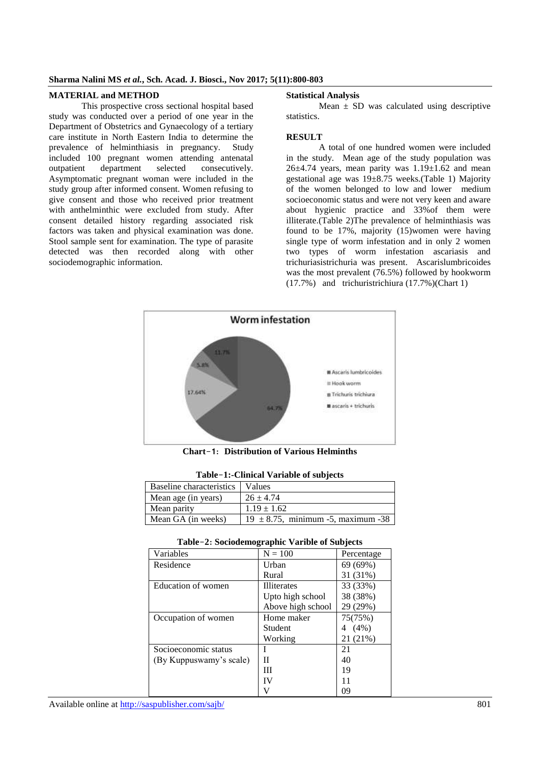#### **Sharma Nalini MS** *et al.***, Sch. Acad. J. Biosci., Nov 2017; 5(11):800-803**

#### **MATERIAL and METHOD**

This prospective cross sectional hospital based study was conducted over a period of one year in the Department of Obstetrics and Gynaecology of a tertiary care institute in North Eastern India to determine the prevalence of helminthiasis in pregnancy. Study included 100 pregnant women attending antenatal<br>outnatient department selected consecutively. outpatient department selected consecutively. Asymptomatic pregnant woman were included in the study group after informed consent. Women refusing to give consent and those who received prior treatment with anthelminthic were excluded from study. After consent detailed history regarding associated risk factors was taken and physical examination was done. Stool sample sent for examination. The type of parasite detected was then recorded along with other sociodemographic information.

#### **Statistical Analysis**

Mean  $\pm$  SD was calculated using descriptive statistics.

### **RESULT**

A total of one hundred women were included in the study. Mean age of the study population was  $26\pm4.74$  years, mean parity was  $1.19\pm1.62$  and mean gestational age was 19±8.75 weeks.(Table 1) Majority of the women belonged to low and lower medium socioeconomic status and were not very keen and aware about hygienic practice and 33%of them were illiterate.(Table 2)The prevalence of helminthiasis was found to be 17%, majority (15)women were having single type of worm infestation and in only 2 women two types of worm infestation ascariasis and trichuriasistrichuria was present. Ascarislumbricoides was the most prevalent  $(76.5%)$  followed by hookworm (17.7%) and trichuristrichiura (17.7%)(Chart 1)



**Chart**-**1**: **Distribution of Various Helminths**

**Table**-**1:-Clinical Variable of subjects**

| Baseline characteristics   Values |                                         |  |
|-----------------------------------|-----------------------------------------|--|
| Mean age (in years)               | $26 \pm 4.74$                           |  |
| Mean parity                       | $1.19 \pm 1.62$                         |  |
| Mean GA (in weeks)                | $19 \pm 8.75$ , minimum -5, maximum -38 |  |

| $\mathbf{r}$ and $\mathbf{r}$ is produced by $\mathbf{r}$ and $\mathbf{r}$ and $\mathbf{r}$ and $\mathbf{r}$ and $\mathbf{r}$ |                    |              |  |
|-------------------------------------------------------------------------------------------------------------------------------|--------------------|--------------|--|
| Variables                                                                                                                     | $N = 100$          | Percentage   |  |
| Residence                                                                                                                     | Urban              | 69 (69%)     |  |
|                                                                                                                               | Rural              | 31 (31%)     |  |
| Education of women                                                                                                            | <b>Illiterates</b> | 33 (33%)     |  |
|                                                                                                                               | Upto high school   | 38 (38%)     |  |
|                                                                                                                               | Above high school  | 29 (29%)     |  |
| Occupation of women                                                                                                           | Home maker         | 75(75%)      |  |
|                                                                                                                               | <b>Student</b>     | $(4\%)$<br>4 |  |
|                                                                                                                               | Working            | 21 (21%)     |  |
| Socioeconomic status                                                                                                          |                    | 21           |  |
| (By Kuppuswamy's scale)                                                                                                       | П                  | 40           |  |
|                                                                                                                               | Ш                  | 19           |  |
|                                                                                                                               | IV                 | 11           |  |
|                                                                                                                               | V                  | 09           |  |

**Table**-**2**: **Sociodemographic Varible of Subjects**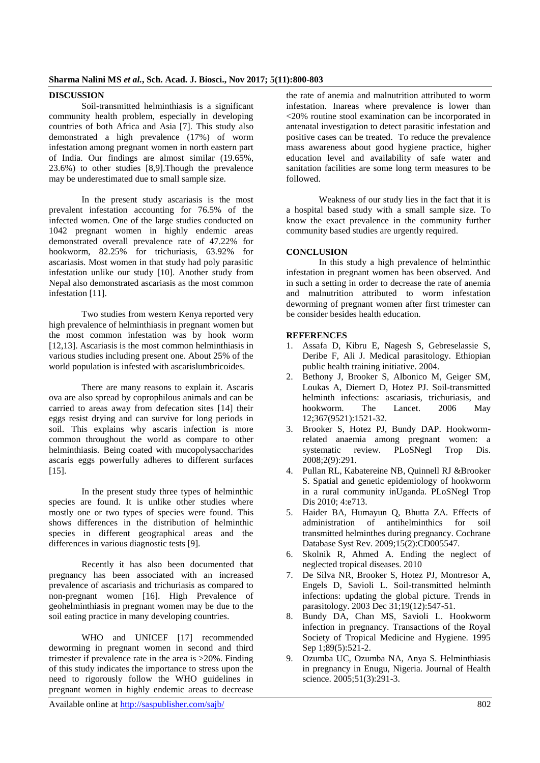## **DISCUSSION**

Soil-transmitted helminthiasis is a significant community health problem, especially in developing countries of both Africa and Asia [7]. This study also demonstrated a high prevalence (17%) of worm infestation among pregnant women in north eastern part of India. Our findings are almost similar (19.65%, 23.6%) to other studies [8,9].Though the prevalence may be underestimated due to small sample size.

In the present study ascariasis is the most prevalent infestation accounting for 76.5% of the infected women. One of the large studies conducted on 1042 pregnant women in highly endemic areas demonstrated overall prevalence rate of 47.22% for hookworm, 82.25% for trichuriasis, 63.92% for ascariasis. Most women in that study had poly parasitic infestation unlike our study [10]. Another study from Nepal also demonstrated ascariasis as the most common infestation [11].

Two studies from western Kenya reported very high prevalence of helminthiasis in pregnant women but the most common infestation was by hook worm [12,13]. Ascariasis is the most common helminthiasis in various studies including present one. About 25% of the world population is infested with ascarislumbricoides.

There are many reasons to explain it. Ascaris ova are also spread by coprophilous animals and can be carried to areas away from defecation sites [14] their eggs resist drying and can survive for long periods in soil. This explains why ascaris infection is more common throughout the world as compare to other helminthiasis. Being coated with mucopolysaccharides ascaris eggs powerfully adheres to different surfaces [15].

In the present study three types of helminthic species are found. It is unlike other studies where mostly one or two types of species were found. This shows differences in the distribution of helminthic species in different geographical areas and the differences in various diagnostic tests [9].

Recently it has also been documented that pregnancy has been associated with an increased prevalence of ascariasis and trichuriasis as compared to non-pregnant women [16]. High Prevalence of geohelminthiasis in pregnant women may be due to the soil eating practice in many developing countries.

WHO and UNICEF [17] recommended deworming in pregnant women in second and third trimester if prevalence rate in the area is >20%. Finding of this study indicates the importance to stress upon the need to rigorously follow the WHO guidelines in pregnant women in highly endemic areas to decrease

the rate of anemia and malnutrition attributed to worm infestation. Inareas where prevalence is lower than <20% routine stool examination can be incorporated in antenatal investigation to detect parasitic infestation and positive cases can be treated. To reduce the prevalence mass awareness about good hygiene practice, higher education level and availability of safe water and sanitation facilities are some long term measures to be followed.

Weakness of our study lies in the fact that it is a hospital based study with a small sample size. To know the exact prevalence in the community further community based studies are urgently required.

## **CONCLUSION**

In this study a high prevalence of helminthic infestation in pregnant women has been observed. And in such a setting in order to decrease the rate of anemia and malnutrition attributed to worm infestation deworming of pregnant women after first trimester can be consider besides health education.

## **REFERENCES**

- 1. Assafa D, Kibru E, Nagesh S, Gebreselassie S, Deribe F, Ali J. Medical parasitology. Ethiopian public health training initiative. 2004.
- 2. Bethony J, Brooker S, Albonico M, Geiger SM, Loukas A, Diemert D, Hotez PJ. Soil-transmitted helminth infections: ascariasis, trichuriasis, and hookworm. The Lancet. 2006 May 12;367(9521):1521-32.
- 3. Brooker S, Hotez PJ, Bundy DAP. Hookwormrelated anaemia among pregnant women: a systematic review. PLoSNegl Trop Dis. 2008;2(9):291.
- 4. Pullan RL, Kabatereine NB, Quinnell RJ &Brooker S. Spatial and genetic epidemiology of hookworm in a rural community inUganda. PLoSNegl Trop Dis 2010: 4:e713.
- 5. Haider BA, Humayun Q, Bhutta ZA. Effects of administration of antihelminthics for soil transmitted helminthes during pregnancy. Cochrane Database Syst Rev. 2009;15(2):CD005547.
- 6. Skolnik R, Ahmed A. Ending the neglect of neglected tropical diseases. 2010
- 7. De Silva NR, Brooker S, Hotez PJ, Montresor A, Engels D, Savioli L. Soil-transmitted helminth infections: updating the global picture. Trends in parasitology. 2003 Dec 31;19(12):547-51.
- 8. Bundy DA, Chan MS, Savioli L. Hookworm infection in pregnancy. Transactions of the Royal Society of Tropical Medicine and Hygiene. 1995 Sep 1;89(5):521-2.
- 9. Ozumba UC, Ozumba NA, Anya S. Helminthiasis in pregnancy in Enugu, Nigeria. Journal of Health science. 2005;51(3):291-3.